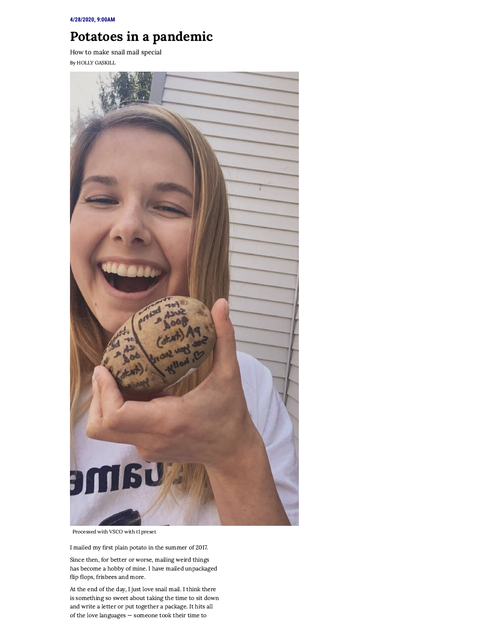## Potatoes in a pandemic

How to make snail mail special By HOLLY [GASKILL](https://www.theechonews.com/staff/holly_gaskill-5f60df007561f)



Processed with VSCO with t1 preset

I mailed my first plain potato in the summer of 2017.

Since then, for better or worse, mailing weird things has become a hobby of mine. I have mailed unpackaged flip flops, frisbees and more.

At the end of the day, I just love snail mail. I think there is something so sweet about taking the time to sit down and write a letter or put together a package. It hits all of the love languages — someone took their time to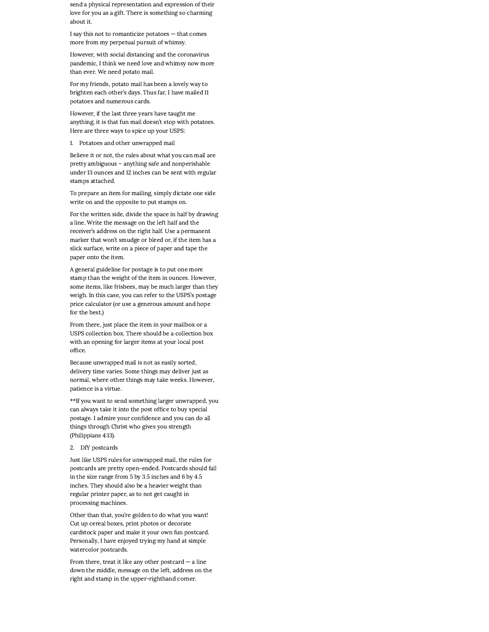send a physical representation and expression of their love for you as a gift. There is something so charming about it.

I say this not to romanticize potatoes — that comes more from my perpetual pursuit of whimsy.

However, with social distancing and the coronavirus pandemic, I think we need love and whimsy now more than ever. We need potato mail.

For my friends, potato mail has been a lovely way to brighten each other's days. Thus far, I have mailed 11 potatoes and numerous cards.

However, if the last three years have taught me anything, it is that fun mail doesn't stop with potatoes. Here are three ways to spice up your USPS:

1. Potatoes and other unwrapped mail

Believe it or not, the rules about what you can mail are pretty ambiguous – anything safe and nonperishable under 13 ounces and 12 inches can be sent with regular stamps attached.

To prepare an item for mailing, simply dictate one side write on and the opposite to put stamps on.

For the written side, divide the space in half by drawing a line. Write the message on the left half and the receiver's address on the right half. Use a permanent marker that won't smudge or bleed or, if the item has a slick surface, write on a piece of paper and tape the paper onto the item.

A general guideline for postage is to put one more stamp than the weight of the item in ounces. However, some items, like frisbees, may be much larger than they weigh. In this case, you can refer to the USPS's postage price calculator (or use a generous amount and hope for the best.)

From there, just place the item in your mailbox or a USPS collection box. There should be a collection box with an opening for larger items at your local post office.

Because unwrapped mail is not as easily sorted, delivery time varies. Some things may deliver just as normal, where other things may take weeks. However, patience is a virtue.

\*\*If you want to send something larger unwrapped, you can always take it into the post office to buy special postage. I admire your confidence and you can do all things through Christ who gives you strength (Philippians 4:13).

2. DIY postcards

Just like USPS rules for unwrapped mail, the rules for postcards are pretty open-ended. Postcards should fall in the size range from 5 by 3.5 inches and 6 by 4.5 inches. They should also be a heavier weight than regular printer paper, as to not get caught in processing machines.

Other than that, you're golden to do what you want! Cut up cereal boxes, print photos or decorate cardstock paper and make it your own fun postcard. Personally, I have enjoyed trying my hand at simple watercolor postcards.

From there, treat it like any other postcard  $-$  a line down the middle, message on the left, address on the right and stamp in the upper-righthand corner.